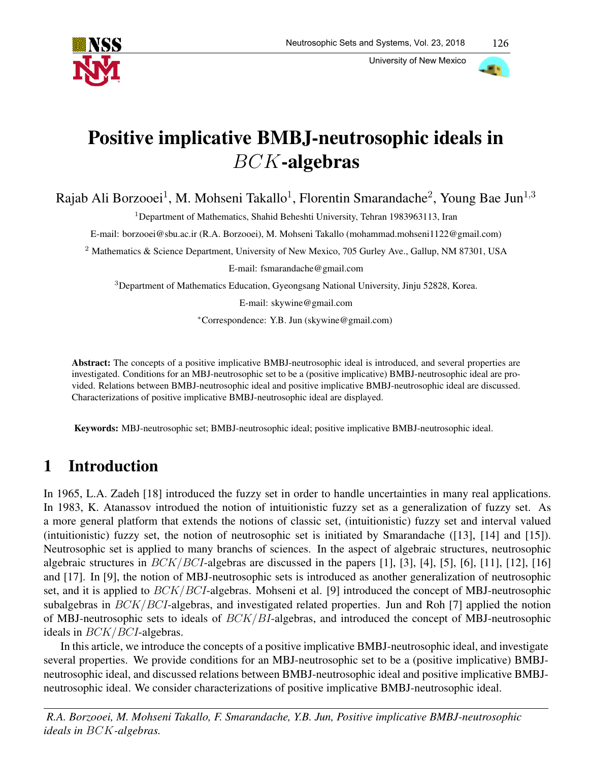

University of New Mexico



# Positive implicative BMBJ-neutrosophic ideals in BCK-algebras

Rajab Ali Borzooei<sup>1</sup>, M. Mohseni Takallo<sup>1</sup>, Florentin Smarandache<sup>2</sup>, Young Bae Jun<sup>1,3</sup>

<sup>1</sup>Department of Mathematics, Shahid Beheshti University, Tehran 1983963113, Iran

E-mail: borzooei@sbu.ac.ir (R.A. Borzooei), M. Mohseni Takallo (mohammad.mohseni1122@gmail.com)

<sup>2</sup> Mathematics & Science Department, University of New Mexico, 705 Gurley Ave., Gallup, NM 87301, USA

E-mail: fsmarandache@gmail.com

<sup>3</sup>Department of Mathematics Education, Gyeongsang National University, Jinju 52828, Korea.

E-mail: skywine@gmail.com

<sup>∗</sup>Correspondence: Y.B. Jun (skywine@gmail.com)

Abstract: The concepts of a positive implicative BMBJ-neutrosophic ideal is introduced, and several properties are investigated. Conditions for an MBJ-neutrosophic set to be a (positive implicative) BMBJ-neutrosophic ideal are provided. Relations between BMBJ-neutrosophic ideal and positive implicative BMBJ-neutrosophic ideal are discussed. Characterizations of positive implicative BMBJ-neutrosophic ideal are displayed.

Keywords: MBJ-neutrosophic set; BMBJ-neutrosophic ideal; positive implicative BMBJ-neutrosophic ideal.

# 1 Introduction

In 1965, L.A. Zadeh [18] introduced the fuzzy set in order to handle uncertainties in many real applications. In 1983, K. Atanassov introdued the notion of intuitionistic fuzzy set as a generalization of fuzzy set. As a more general platform that extends the notions of classic set, (intuitionistic) fuzzy set and interval valued (intuitionistic) fuzzy set, the notion of neutrosophic set is initiated by Smarandache ([13], [14] and [15]). Neutrosophic set is applied to many branchs of sciences. In the aspect of algebraic structures, neutrosophic algebraic structures in  $BCK/BCI$ -algebras are discussed in the papers [1], [3], [4], [5], [6], [11], [12], [16] and [17]. In [9], the notion of MBJ-neutrosophic sets is introduced as another generalization of neutrosophic set, and it is applied to  $BCK/BCI$ -algebras. Mohseni et al. [9] introduced the concept of MBJ-neutrosophic subalgebras in BCK/BCI-algebras, and investigated related properties. Jun and Roh [7] applied the notion of MBJ-neutrosophic sets to ideals of BCK/BI-algebras, and introduced the concept of MBJ-neutrosophic ideals in BCK/BCI-algebras.

In this article, we introduce the concepts of a positive implicative BMBJ-neutrosophic ideal, and investigate several properties. We provide conditions for an MBJ-neutrosophic set to be a (positive implicative) BMBJneutrosophic ideal, and discussed relations between BMBJ-neutrosophic ideal and positive implicative BMBJneutrosophic ideal. We consider characterizations of positive implicative BMBJ-neutrosophic ideal.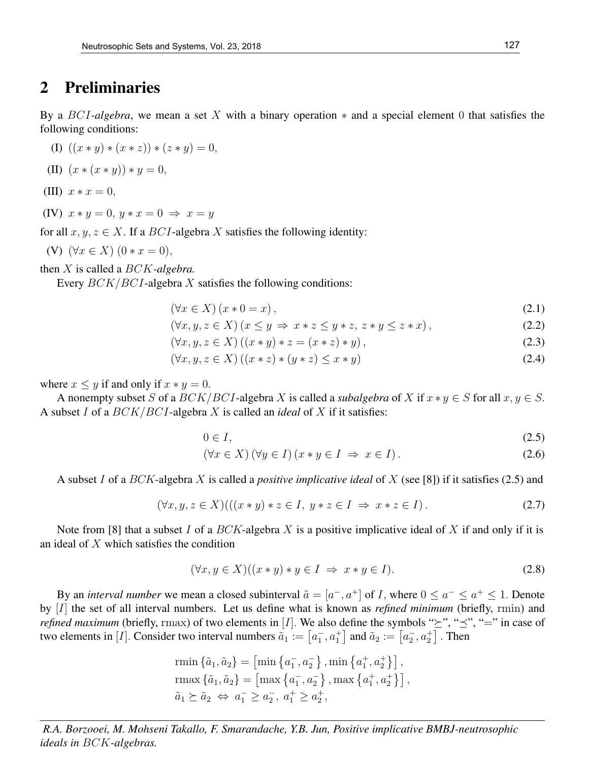#### 2 Preliminaries

By a BCI*-algebra*, we mean a set X with a binary operation ∗ and a special element 0 that satisfies the following conditions:

$$
(I) ((x * y) * (x * z)) * (z * y) = 0,
$$

(II) 
$$
(x * (x * y)) * y = 0,
$$

- (III)  $x * x = 0$ ,
- (IV)  $x * y = 0, y * x = 0 \Rightarrow x = y$

for all  $x, y, z \in X$ . If a *BCI*-algebra X satisfies the following identity:

(V) 
$$
(\forall x \in X) (0 * x = 0),
$$

then X is called a BCK*-algebra.*

Every  $BCK/BCI$ -algebra X satisfies the following conditions:

$$
(\forall x \in X) (x * 0 = x), \tag{2.1}
$$

$$
(\forall x, y, z \in X) (x \le y \Rightarrow x * z \le y * z, z * y \le z * x), \tag{2.2}
$$

 $(\forall x, y, z \in X)((x * y) * z = (x * z) * y),$  (2.3)

$$
(\forall x, y, z \in X) ((x * z) * (y * z) \le x * y)
$$
\n
$$
(2.4)
$$

where  $x \leq y$  if and only if  $x * y = 0$ .

A nonempty subset S of a  $BCK/BCI$ -algebra X is called a *subalgebra* of X if  $x * y \in S$  for all  $x, y \in S$ . A subset I of a BCK/BCI-algebra X is called an *ideal* of X if it satisfies:

$$
0 \in I,\tag{2.5}
$$

$$
(\forall x \in X) (\forall y \in I) (x * y \in I \Rightarrow x \in I).
$$
\n(2.6)

A subset I of a BCK-algebra X is called a *positive implicative ideal* of X (see [8]) if it satisfies (2.5) and

$$
(\forall x, y, z \in X) (((x * y) * z \in I, y * z \in I \Rightarrow x * z \in I).
$$
\n
$$
(2.7)
$$

Note from [8] that a subset I of a BCK-algebra X is a positive implicative ideal of X if and only if it is an ideal of X which satisfies the condition

$$
(\forall x, y \in X)((x * y) * y \in I \Rightarrow x * y \in I).
$$
\n
$$
(2.8)
$$

By an *interval number* we mean a closed subinterval  $\tilde{a} = [a^-, a^+]$  of *I*, where  $0 \le a^- \le a^+ \le 1$ . Denote by [I] the set of all interval numbers. Let us define what is known as *refined minimum* (briefly, rmin) and *refined maximum* (briefly, rmax) of two elements in [I]. We also define the symbols " $\geq$ ", " $\preceq$ ", "=" in case of two elements in [*I*]. Consider two interval numbers  $\tilde{a}_1 := \left[a_1, a_1^+\right]$  and  $\tilde{a}_2 := \left[a_2^-, a_2^+\right]$ . Then

rmin 
$$
\{\tilde{a}_1, \tilde{a}_2\} = [\min \{a_1^-, a_2^-\}, \min \{a_1^+, a_2^+\}\]
$$
,  
\n $\text{rmax } \{\tilde{a}_1, \tilde{a}_2\} = [\max \{a_1^-, a_2^-\}, \max \{a_1^+, a_2^+\}\]$ ,  
\n $\tilde{a}_1 \succeq \tilde{a}_2 \Leftrightarrow a_1^- \ge a_2^-, a_1^+ \ge a_2^+$ ,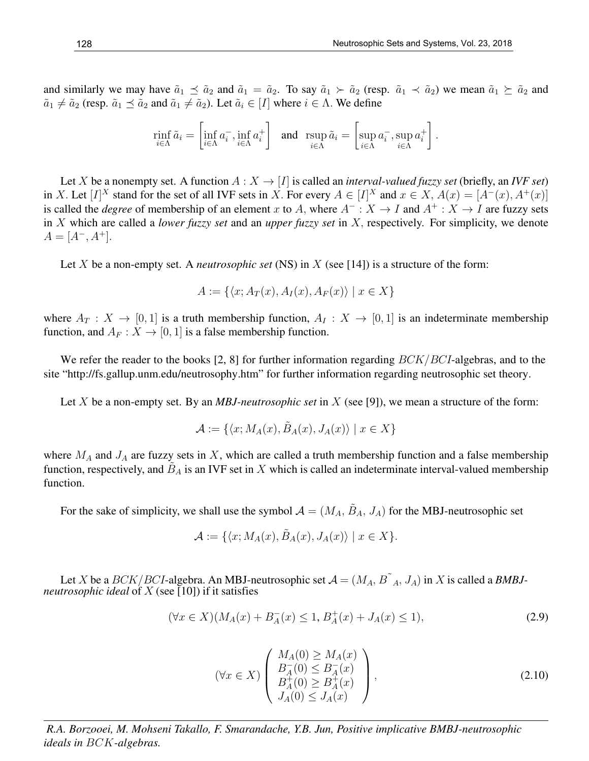and similarly we may have  $\tilde{a}_1 \preceq \tilde{a}_2$  and  $\tilde{a}_1 = \tilde{a}_2$ . To say  $\tilde{a}_1 \succ \tilde{a}_2$  (resp.  $\tilde{a}_1 \prec \tilde{a}_2$ ) we mean  $\tilde{a}_1 \succeq \tilde{a}_2$  and  $\tilde{a}_1 \neq \tilde{a}_2$  (resp.  $\tilde{a}_1 \preceq \tilde{a}_2$  and  $\tilde{a}_1 \neq \tilde{a}_2$ ). Let  $\tilde{a}_i \in [I]$  where  $i \in \Lambda$ . We define

$$
\min_{i \in \Lambda} \tilde{a}_i = \left[ \inf_{i \in \Lambda} a_i^-, \inf_{i \in \Lambda} a_i^+ \right] \quad \text{and} \quad \operatorname{rsup}_{i \in \Lambda} \tilde{a}_i = \left[ \sup_{i \in \Lambda} a_i^-, \sup_{i \in \Lambda} a_i^+ \right].
$$

Let X be a nonempty set. A function  $A: X \to [I]$  is called an *interval-valued fuzzy set* (briefly, an *IVF set*) in X. Let  $[I]^X$  stand for the set of all IVF sets in X. For every  $A \in [I]^X$  and  $x \in X$ ,  $A(x) = [A^-(x), A^+(x)]$ is called the *degree* of membership of an element x to A, where  $A^- : X \to I$  and  $A^+ : X \to I$  are fuzzy sets in X which are called a *lower fuzzy set* and an *upper fuzzy set* in X, respectively. For simplicity, we denote  $A = [A^-, A^+]$ .

Let X be a non-empty set. A *neutrosophic set* (NS) in X (see [14]) is a structure of the form:

$$
A := \{ \langle x; A_T(x), A_I(x), A_F(x) \rangle \mid x \in X \}
$$

where  $A_T : X \to [0,1]$  is a truth membership function,  $A_I : X \to [0,1]$  is an indeterminate membership function, and  $A_F : X \to [0, 1]$  is a false membership function.

We refer the reader to the books [2, 8] for further information regarding  $BCK/BCI$ -algebras, and to the site "http://fs.gallup.unm.edu/neutrosophy.htm" for further information regarding neutrosophic set theory.

Let X be a non-empty set. By an *MBJ-neutrosophic set* in X (see [9]), we mean a structure of the form:

$$
\mathcal{A} := \{ \langle x; M_A(x), \tilde{B}_A(x), J_A(x) \rangle \mid x \in X \}
$$

where  $M_A$  and  $J_A$  are fuzzy sets in X, which are called a truth membership function and a false membership function, respectively, and  $\tilde{B}_A$  is an IVF set in X which is called an indeterminate interval-valued membership function.

For the sake of simplicity, we shall use the symbol  $A = (M_A, \tilde{B}_A, J_A)$  for the MBJ-neutrosophic set

$$
\mathcal{A} := \{ \langle x; M_A(x), \tilde{B}_A(x), J_A(x) \rangle \mid x \in X \}.
$$

Let X be a  $BCK/BCI$ -algebra. An MBJ-neutrosophic set  $\mathcal{A} = (M_A, B\tilde{A}, J_A)$  in X is called a *BMBJneutrosophic ideal* of X (see [10]) if it satisfies

$$
(\forall x \in X)(M_A(x) + B_A^-(x) \le 1, B_A^+(x) + J_A(x) \le 1), \tag{2.9}
$$

$$
(\forall x \in X) \begin{pmatrix} M_A(0) \ge M_A(x) \\ B_A^-(0) \le B_A^-(x) \\ B_A^+(0) \ge B_A^+(x) \\ J_A(0) \le J_A(x) \end{pmatrix},
$$
\n(2.10)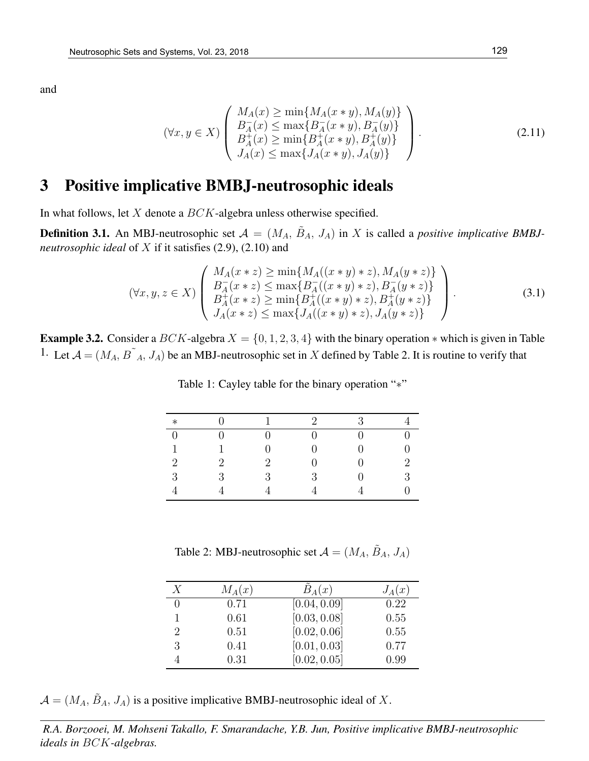$$
(\forall x, y \in X) \left( \begin{array}{c} M_A(x) \ge \min\{M_A(x * y), M_A(y)\} \\ B_A^-(x) \le \max\{B_A^-(x * y), B_A^-(y)\} \\ B_A^+(x) \ge \min\{B_A^+(x * y), B_A^+(y)\} \\ J_A(x) \le \max\{J_A(x * y), J_A(y)\} \end{array} \right). \tag{2.11}
$$

### 3 Positive implicative BMBJ-neutrosophic ideals

In what follows, let  $X$  denote a  $BCK$ -algebra unless otherwise specified.

**Definition 3.1.** An MBJ-neutrosophic set  $\mathcal{A} = (M_A, \tilde{B}_A, J_A)$  in X is called a *positive implicative BMBJneutrosophic ideal* of X if it satisfies (2.9), (2.10) and

$$
(\forall x, y, z \in X) \left( \begin{array}{c} M_A(x * z) \ge \min\{M_A((x * y) * z), M_A(y * z)\} \\ B_A^-(x * z) \le \max\{B_A^-(x * y) * z), B_A^-(y * z)\} \\ B_A^+(x * z) \ge \min\{B_A^+(x * y) * z), B_A^+(y * z)\} \\ J_A(x * z) \le \max\{J_A((x * y) * z), J_A(y * z)\} \end{array} \right). \tag{3.1}
$$

**Example 3.2.** Consider a BCK-algebra  $X = \{0, 1, 2, 3, 4\}$  with the binary operation  $*$  which is given in Table <sup>1</sup>. Let  $A = (M_A, B^{\dagger} A, J_A)$  be an MBJ-neutrosophic set in X defined by Table 2. It is routine to verify that

| $\ast$         |                             |                | $\mathcal{D}$ | $\mathcal{R}$ |               |
|----------------|-----------------------------|----------------|---------------|---------------|---------------|
| $\Omega$       |                             |                |               |               |               |
| $\mathbf{1}$   |                             |                |               |               |               |
| $\overline{2}$ | $\mathcal{D}_{\mathcal{L}}$ | $\overline{2}$ |               |               | 2             |
| 3              | २                           | 3              | 3             |               | $\mathcal{R}$ |
|                |                             |                |               |               |               |

Table 1: Cayley table for the binary operation "\*"

Table 2: MBJ-neutrosophic set  $A = (M_A, \tilde{B}_A, J_A)$ 

| X              | $M_A(x)$ | $B_A(x)$     | $J_A(x)$ |
|----------------|----------|--------------|----------|
|                | 0.71     | [0.04, 0.09] | 0.22     |
|                | 0.61     | [0.03, 0.08] | 0.55     |
| $\overline{2}$ | 0.51     | [0.02, 0.06] | 0.55     |
| 3              | 0.41     | [0.01, 0.03] | 0.77     |
|                | 0.31     | [0.02, 0.05] | 0.99     |

 $\mathcal{A} = (M_A, \tilde{B}_A, J_A)$  is a positive implicative BMBJ-neutrosophic ideal of X.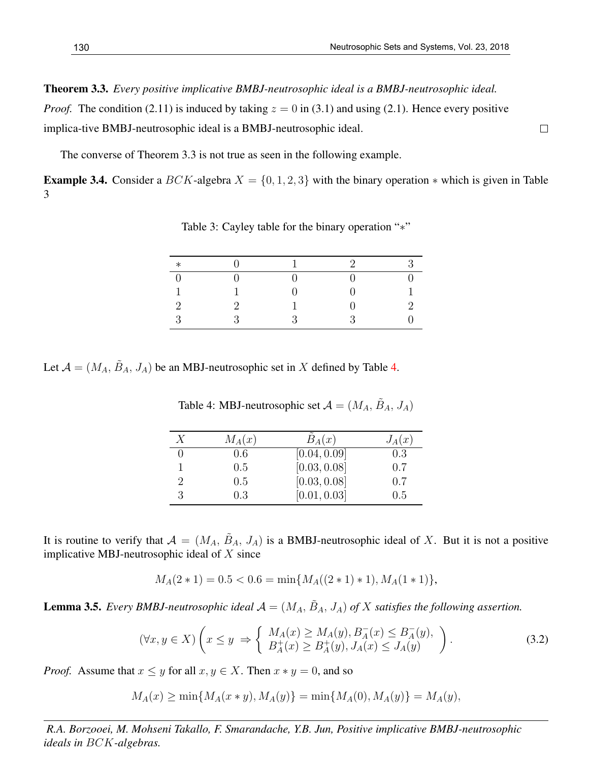$\Box$ 

Theorem 3.3. *Every positive implicative BMBJ-neutrosophic ideal is a BMBJ-neutrosophic ideal. Proof.* The condition (2.11) is induced by taking  $z = 0$  in (3.1) and using (2.1). Hence every positive implica-tive BMBJ-neutrosophic ideal is a BMBJ-neutrosophic ideal.

The converse of Theorem 3.3 is not true as seen in the following example.

**Example 3.4.** Consider a  $BCK$ -algebra  $X = \{0, 1, 2, 3\}$  with the binary operation  $*$  which is given in Table 3

| $*$      |          | 1             | $\mathcal{D}$ | $\mathbf{Q}$ |
|----------|----------|---------------|---------------|--------------|
|          |          |               |               |              |
| п        |          |               |               |              |
| $\Omega$ | $\Omega$ |               |               | $\Omega$     |
| 2        | 2        | $\mathcal{P}$ | $\mathbf{Q}$  |              |

Table 3: Cayley table for the binary operation "∗"

Let  $\mathcal{A} = (M_A, \tilde{B}_A, J_A)$  be an MBJ-neutrosophic set in X defined by Table 4.

| Х | $M_A(x)$ | $B_A(x)$     | $J_A(x)$ |
|---|----------|--------------|----------|
|   | 0.6      | [0.04, 0.09] | 0.3      |
|   | 0.5      | [0.03, 0.08] | 0.7      |
|   | 0.5      | [0.03, 0.08] | 0.7      |
|   | 0.3      | [0.01, 0.03] | 0.5      |

Table 4: MBJ-neutrosophic set  $A = (M_A, \tilde{B}_A, J_A)$ 

It is routine to verify that  $A = (M_A, \tilde{B}_A, J_A)$  is a BMBJ-neutrosophic ideal of X. But it is not a positive implicative MBJ-neutrosophic ideal of  $X$  since

$$
M_A(2*1) = 0.5 < 0.6 = \min\{M_A((2*1)*1), M_A(1*1)\},\
$$

**Lemma 3.5.** *Every BMBJ-neutrosophic ideal*  $\mathcal{A} = (M_A, \tilde{B}_A, J_A)$  *of* X *satisfies the following assertion.* 

$$
(\forall x, y \in X) \left( x \le y \implies \left\{ \begin{array}{l} M_A(x) \ge M_A(y), B_A^-(x) \le B_A^-(y), \\ B_A^+(x) \ge B_A^+(y), J_A(x) \le J_A(y) \end{array} \right\}.
$$
 (3.2)

*Proof.* Assume that  $x \leq y$  for all  $x, y \in X$ . Then  $x * y = 0$ , and so

$$
M_A(x) \ge \min\{M_A(x*y), M_A(y)\} = \min\{M_A(0), M_A(y)\} = M_A(y),
$$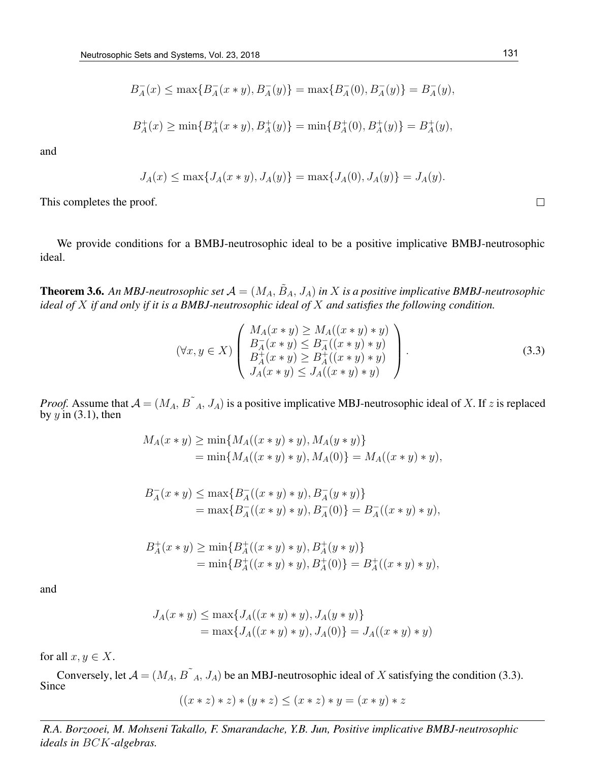$$
B_A^-(x) \le \max\{B_A^-(x*y), B_A^-(y)\} = \max\{B_A^-(0), B_A^-(y)\} = B_A^-(y),
$$

$$
B_A^+(x) \ge \min\{B_A^+(x*y), B_A^+(y)\} = \min\{B_A^+(0), B_A^+(y)\} = B_A^+(y),
$$

$$
J_A(x) \le \max\{J_A(x*y), J_A(y)\} = \max\{J_A(0), J_A(y)\} = J_A(y).
$$

This completes the proof.

We provide conditions for a BMBJ-neutrosophic ideal to be a positive implicative BMBJ-neutrosophic ideal.

**Theorem 3.6.** An MBJ-neutrosophic set  $\mathcal{A} = (M_A, \tilde{B}_A, J_A)$  in  $X$  is a positive implicative BMBJ-neutrosophic *ideal of* X *if and only if it is a BMBJ-neutrosophic ideal of* X *and satisfies the following condition.*

$$
(\forall x, y \in X) \left( \begin{array}{c} M_A(x * y) \ge M_A((x * y) * y) \\ B_A^-(x * y) \le B_A^-(x * y) * y) \\ B_A^+(x * y) \ge B_A^+((x * y) * y) \\ J_A(x * y) \le J_A((x * y) * y) \end{array} \right). \tag{3.3}
$$

*Proof.* Assume that  $A = (M_A, B^{\dagger}_A, J_A)$  is a positive implicative MBJ-neutrosophic ideal of X. If z is replaced by  $y$  in (3.1), then

$$
M_A(x * y) \ge \min\{M_A((x * y) * y), M_A(y * y)\}
$$
  
=  $\min\{M_A((x * y) * y), M_A(0)\} = M_A((x * y) * y),$ 

$$
B_A^-(x * y) \le \max\{B_A^-(x * y) * y), B_A^-(y * y)\}
$$
  
=  $\max\{B_A^-(x * y) * y), B_A^-(0)\} = B_A^-(x * y) * y),$ 

$$
B_A^+(x * y) \ge \min\{B_A^+((x * y) * y), B_A^+(y * y)\}
$$
  
=  $\min\{B_A^+((x * y) * y), B_A^+(0)\} = B_A^+((x * y) * y),$ 

and

$$
J_A(x * y) \le \max\{J_A((x * y) * y), J_A(y * y)\}
$$
  
=  $\max\{J_A((x * y) * y), J_A(0)\} = J_A((x * y) * y)$ 

for all  $x, y \in X$ .

Conversely, let  $A = (M_A, B^{T}_A, J_A)$  be an MBJ-neutrosophic ideal of X satisfying the condition (3.3). Since

$$
((x * z) * z) * (y * z) \leq (x * z) * y = (x * y) * z
$$

*R.A. Borzooei, M. Mohseni Takallo, F. Smarandache, Y.B. Jun, Positive implicative BMBJ-neutrosophic ideals in* BCK*-algebras.*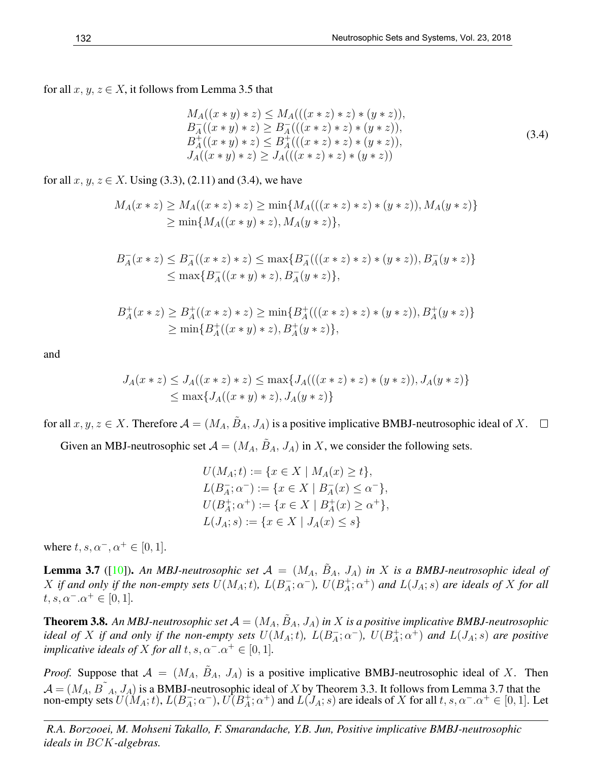for all  $x, y, z \in X$ , it follows from Lemma 3.5 that

$$
M_A((x * y) * z) \le M_A(((x * z) * z) * (y * z)),
$$
  
\n
$$
B_A^-((x * y) * z) \ge B_A^-(((x * z) * z) * (y * z)),
$$
  
\n
$$
B_A^+((x * y) * z) \le B_A^+(((x * z) * z) * (y * z)),
$$
  
\n
$$
J_A((x * y) * z) \ge J_A(((x * z) * z) * (y * z))
$$
\n(3.4)

for all  $x, y, z \in X$ . Using (3.3), (2.11) and (3.4), we have

$$
M_A(x * z) \ge M_A((x * z) * z) \ge \min\{M_A(((x * z) * z) * (y * z)), M_A(y * z)\}\
$$
  
 
$$
\ge \min\{M_A((x * y) * z), M_A(y * z)\},
$$

$$
B_A^-(x * z) \leq B_A^-(x * z) * z) \leq \max\{B_A^-(((x * z) * z) * (y * z)), B_A^-(y * z)\}\
$$
  
 
$$
\leq \max\{B_A^-(x * y) * z), B_A^-(y * z)\},
$$

$$
B_A^+(x * z) \ge B_A^+((x * z) * z) \ge \min\{B_A^+(((x * z) * z) * (y * z)), B_A^+(y * z)\}\
$$
  
 
$$
\ge \min\{B_A^+((x * y) * z), B_A^+(y * z)\},
$$

and

$$
J_A(x * z) \leq J_A((x * z) * z) \leq \max\{J_A(((x * z) * z) * (y * z)), J_A(y * z)\}\
$$
  

$$
\leq \max\{J_A((x * y) * z), J_A(y * z)\}\
$$

for all  $x, y, z \in X$ . Therefore  $\mathcal{A} = (M_A, \tilde{B}_A, J_A)$  is a positive implicative BMBJ-neutrosophic ideal of X.

Given an MBJ-neutrosophic set  $A = (M_A, \tilde{B}_A, J_A)$  in X, we consider the following sets.

$$
U(M_A; t) := \{ x \in X \mid M_A(x) \ge t \},
$$
  
\n
$$
L(B_A^-; \alpha^-) := \{ x \in X \mid B_A^-(x) \le \alpha^- \},
$$
  
\n
$$
U(B_A^+; \alpha^+) := \{ x \in X \mid B_A^+(x) \ge \alpha^+ \},
$$
  
\n
$$
L(J_A; s) := \{ x \in X \mid J_A(x) \le s \}
$$

where  $t, s, \alpha^-, \alpha^+ \in [0, 1]$ .

**Lemma 3.7** ([10]). An MBJ-neutrosophic set  $\mathcal{A} = (M_A, \tilde{B}_A, J_A)$  in X is a BMBJ-neutrosophic ideal of X if and only if the non-empty sets  $U(M_A; t)$ ,  $L(B_A^+)$  $\overline{A}$ ;  $\alpha^-$ ),  $U(B_A^+)$  $A_{\dot{A}}^{+}$ ;  $\alpha^{+}$ ) and  $L(J_A; s)$  are ideals of X for all  $t, s, \alpha^{-} \alpha^{+} \in [0, 1].$ 

**Theorem 3.8.** An MBJ-neutrosophic set  $A = (M_A, \tilde{B}_A, J_A)$  in  $X$  is a positive implicative BMBJ-neutrosophic *ideal of* X *if and only if the non-empty sets*  $U(M_A; t)$ ,  $L(B_A^+)$  $\bar{A}$ ;  $\alpha^{-}$ ),  $U(B_{A}^{+})$  $A^+_A$ ;  $\alpha^+$ ) and  $L(J_A; s)$  are positive *implicative ideals of* X *for all*  $t, s, \alpha^- \alpha^+ \in [0, 1]$ *.* 

*Proof.* Suppose that  $A = (M_A, \tilde{B}_A, J_A)$  is a positive implicative BMBJ-neutrosophic ideal of X. Then  $\mathcal{A} = (M_A, B^{\dagger}_{A}, J_A)$  is a BMBJ-neutrosophic ideal of X by Theorem 3.3. It follows from Lemma 3.7 that the non-empty sets  $U(M_A; t)$ ,  $L(B_A^-)$  $\overline{A}$ ;  $\alpha^-$ ),  $\overline{U}(B^+_A)$  $A_{\alpha}^{+}$ ;  $\alpha^{+}$ ) and  $L(J_A; s)$  are ideals of X for all  $t, s, \alpha^{-} \alpha^{+} \in [0, 1]$ . Let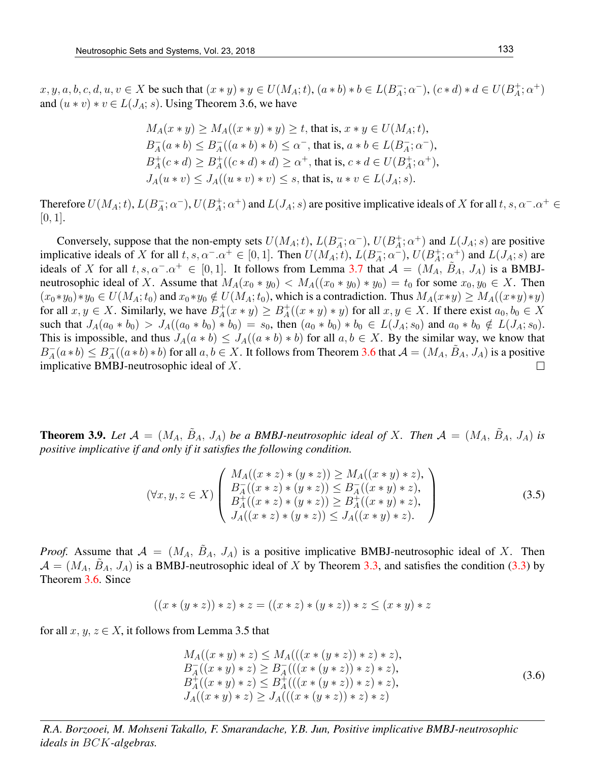$x, y, a, b, c, d, u, v \in X$  be such that  $(x * y) * y \in U(M_A; t)$ ,  $(a * b) * b \in L(B_A^-)$  $(\bar{A}; \alpha^{-}), (c * d) * d \in U(B_{A}^{+})$  $_{A}^{+};\alpha^{+})$ and  $(u * v) * v \in L(J_A; s)$ . Using Theorem 3.6, we have

$$
M_A(x * y) \ge M_A((x * y) * y) \ge t, \text{ that is, } x * y \in U(M_A; t),
$$
  
\n
$$
B_A^-(a * b) \le B_A^-(a * b) * b) \le \alpha^-, \text{ that is, } a * b \in L(B_A^-, \alpha^+),
$$
  
\n
$$
B_A^+(c * d) \ge B_A^+((c * d) * d) \ge \alpha^+, \text{ that is, } c * d \in U(B_A^+; \alpha^+),
$$
  
\n
$$
J_A(u * v) \le J_A((u * v) * v) \le s, \text{ that is, } u * v \in L(J_A; s).
$$

Therefore  $U(M_A; t)$ ,  $L(B_A^-)$  $\bar{A}$ ;  $\alpha^{-}$ ),  $U(B_{A}^{+})$  $A^+$ ;  $\alpha^+$ ) and  $L(J_A; s)$  are positive implicative ideals of X for all  $t, s, \alpha^- \alpha^+ \in$  $[0, 1]$ .

Conversely, suppose that the non-empty sets  $U(M_A; t)$ ,  $L(B_A^-)$  $\bar{A}$ ;  $\alpha^{-}$ ),  $U(B_{A}^{+})$  $A^+$ ;  $\alpha^+$ ) and  $L(J_A; s)$  are positive implicative ideals of X for all  $t, s, \alpha^- \cdot \alpha^+ \in [0, 1]$ . Then  $U(M_A; t)$ ,  $L(B_A^-)$  $\overline{A}$ ;  $\alpha^{-}$ ),  $U(B_{A}^{+})$  $\chi^+_A$ ;  $\alpha^+$ ) and  $L(J_A; s)$  are ideals of X for all  $t, s, \alpha^- \cdot \alpha^+ \in [0, 1]$ . It follows from Lemma 3.7 that  $\mathcal{A} = (M_A, B_A, J_A)$  is a BMBJneutrosophic ideal of X. Assume that  $M_A(x_0 * y_0) < M_A((x_0 * y_0) * y_0) = t_0$  for some  $x_0, y_0 \in X$ . Then  $(x_0 * y_0) * y_0 \in U(M_A; t_0)$  and  $x_0 * y_0 \notin U(M_A; t_0)$ , which is a contradiction. Thus  $M_A(x * y) \geq M_A((x * y) * y)$ for all  $x, y \in X$ . Similarly, we have  $B_A^+$  $A^+(x * y) \geq B_A^+$  $_A^+((x * y) * y)$  for all  $x, y \in X$ . If there exist  $a_0, b_0 \in X$ such that  $J_A(a_0 * b_0) > J_A((a_0 * b_0) * b_0) = s_0$ , then  $(a_0 * b_0) * b_0 \in L(J_A; s_0)$  and  $a_0 * b_0 \notin L(J_A; s_0)$ . This is impossible, and thus  $J_A(a * b) \leq J_A((a * b) * b)$  for all  $a, b \in X$ . By the similar way, we know that  $A_1^-(a * b) * b$  for all  $a, b \in X$ . It follows from Theorem 3.6 that  $A = (M_A, \tilde{B}_A, J_A)$  is a positive  $B_A^+$  $_{A}^{-}(a * b) \leq B_{A}^{-}$ implicative BMBJ-neutrosophic ideal of X.  $\Box$ 

**Theorem 3.9.** Let  $\mathcal{A} = (M_A, \tilde{B}_A, J_A)$  be a BMBJ-neutrosophic ideal of X. Then  $\mathcal{A} = (M_A, \tilde{B}_A, J_A)$  is *positive implicative if and only if it satisfies the following condition.*

$$
(\forall x, y, z \in X) \left( \begin{array}{l} M_A((x * z) * (y * z)) \ge M_A((x * y) * z), \\ B_A^-((x * z) * (y * z)) \le B_A^-((x * y) * z), \\ B_A^+((x * z) * (y * z)) \ge B_A^+((x * y) * z), \\ J_A((x * z) * (y * z)) \le J_A((x * y) * z). \end{array} \right) \tag{3.5}
$$

*Proof.* Assume that  $A = (M_A, \tilde{B}_A, J_A)$  is a positive implicative BMBJ-neutrosophic ideal of X. Then  $\mathcal{A} = (M_A, \tilde{B}_A, J_A)$  is a BMBJ-neutrosophic ideal of X by Theorem 3.3, and satisfies the condition (3.3) by Theorem 3.6. Since

$$
((x * (y * z)) * z) * z = ((x * z) * (y * z)) * z \leq (x * y) * z
$$

for all  $x, y, z \in X$ , it follows from Lemma 3.5 that

$$
M_A((x * y) * z) \le M_A(((x * (y * z)) * z) * z),\nB_A^-((x * y) * z) \ge B_A^-(((x * (y * z)) * z) * z),\nB_A^+((x * y) * z) \le B_A^+(((x * (y * z)) * z) * z),\nJ_A((x * y) * z) \ge J_A(((x * (y * z)) * z) * z)
$$
\n(3.6)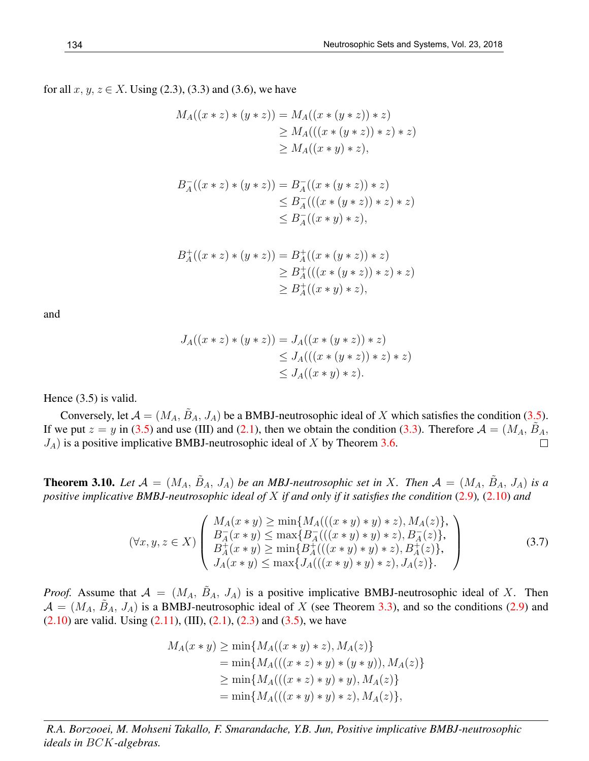for all  $x, y, z \in X$ . Using (2.3), (3.3) and (3.6), we have

$$
M_A((x * z) * (y * z)) = M_A((x * (y * z)) * z)
$$
  
\n
$$
\ge M_A(((x * (y * z)) * z) * z)
$$
  
\n
$$
\ge M_A((x * y) * z),
$$

$$
B_A^-((x * z) * (y * z)) = B_A^-((x * (y * z)) * z)
$$
  
\n
$$
\leq B_A^-(((x * (y * z)) * z) * z)
$$
  
\n
$$
\leq B_A^-((x * y) * z),
$$

$$
B_A^+((x * z) * (y * z)) = B_A^+((x * (y * z)) * z)
$$
  
\n
$$
\geq B_A^+(((x * (y * z)) * z) * z)
$$
  
\n
$$
\geq B_A^+((x * y) * z),
$$

and

$$
J_A((x * z) * (y * z)) = J_A((x * (y * z)) * z)
$$
  
\n
$$
\leq J_A(((x * (y * z)) * z) * z)
$$
  
\n
$$
\leq J_A((x * y) * z).
$$

Hence (3.5) is valid.

Conversely, let  $\mathcal{A} = (M_A, \tilde{B}_A, J_A)$  be a BMBJ-neutrosophic ideal of X which satisfies the condition (3.5). If we put  $z = y$  in (3.5) and use (III) and (2.1), then we obtain the condition (3.3). Therefore  $\mathcal{A} = (M_A, \tilde{B}_A, \tilde{B}_A)$  $J_A$ ) is a positive implicative BMBJ-neutrosophic ideal of X by Theorem 3.6.  $\Box$ 

**Theorem 3.10.** Let  $\mathcal{A} = (M_A, \tilde{B}_A, J_A)$  be an MBJ-neutrosophic set in X. Then  $\mathcal{A} = (M_A, \tilde{B}_A, J_A)$  is a *positive implicative BMBJ-neutrosophic ideal of* X *if and only if it satisfies the condition* (2.9)*,* (2.10) *and*

$$
(\forall x, y, z \in X) \left( \begin{array}{c} M_A(x * y) \ge \min\{M_A(((x * y) * y) * z), M_A(z)\}, \\ B_A^-(x * y) \le \max\{B_A^+(((x * y) * y) * z), B_A^-(z)\}, \\ B_A^+(x * y) \ge \min\{B_A^+(((x * y) * y) * z), B_A^+(z)\}, \\ J_A(x * y) \le \max\{J_A(((x * y) * y) * z), J_A(z)\}. \end{array} \right) \tag{3.7}
$$

*Proof.* Assume that  $A = (M_A, \tilde{B}_A, J_A)$  is a positive implicative BMBJ-neutrosophic ideal of X. Then  $\mathcal{A} = (M_A, \tilde{B}_A, J_A)$  is a BMBJ-neutrosophic ideal of X (see Theorem 3.3), and so the conditions (2.9) and  $(2.10)$  are valid. Using  $(2.11)$ ,  $(III)$ ,  $(2.1)$ ,  $(2.3)$  and  $(3.5)$ , we have

$$
M_A(x * y) \ge \min\{M_A((x * y) * z), M_A(z)\}
$$
  
=  $\min\{M_A(((x * z) * y) * (y * y)), M_A(z)\}\$   
 $\ge \min\{M_A(((x * z) * y) * y), M_A(z)\}\$   
=  $\min\{M_A(((x * y) * y) * z), M_A(z)\},$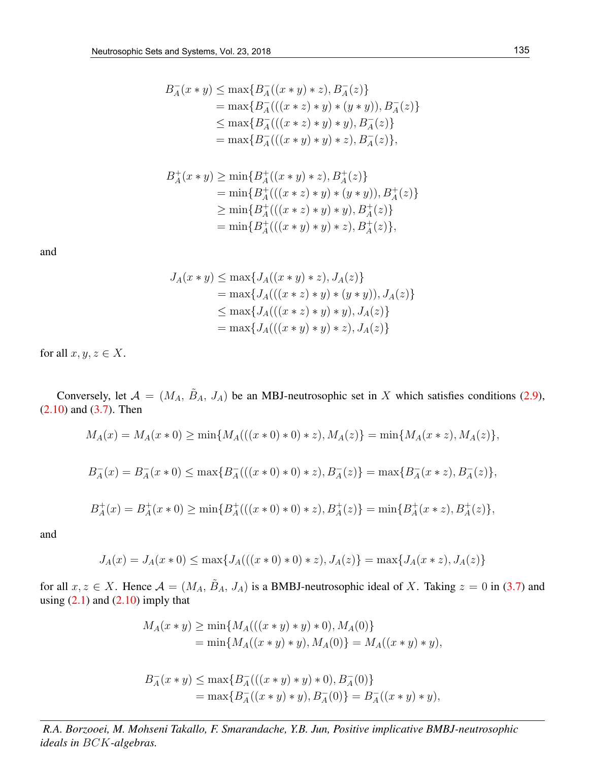$$
B_A^-(x * y) \le \max\{B_A^-(x * y) * z), B_A^-(z)\}
$$
  
=  $\max\{B_A^-(((x * z) * y) * (y * y)), B_A^-(z)\}$   
 $\le \max\{B_A^-(((x * z) * y) * y), B_A^-(z)\}$   
=  $\max\{B_A^-(((x * y) * y) * z), B_A^-(z)\},$ 

$$
B_A^+(x * y) \ge \min\{B_A^+((x * y) * z), B_A^+(z)\}
$$
  
=  $\min\{B_A^+(((x * z) * y) * (y * y)), B_A^+(z)\}\$   
 $\ge \min\{B_A^+(((x * z) * y) * y), B_A^+(z)\}\$   
=  $\min\{B_A^+(((x * y) * y) * z), B_A^+(z)\},$ 

$$
J_A(x * y) \le \max\{J_A((x * y) * z), J_A(z)\}
$$
  
=  $\max\{J_A(((x * z) * y) * (y * y)), J_A(z)\}\$   
 $\le \max\{J_A(((x * z) * y) * y), J_A(z)\}\$   
=  $\max\{J_A(((x * y) * y) * z), J_A(z)\}\$ 

for all  $x, y, z \in X$ .

Conversely, let  $\mathcal{A} = (M_A, \tilde{B}_A, J_A)$  be an MBJ-neutrosophic set in X which satisfies conditions (2.9),  $(2.10)$  and  $(3.7)$ . Then

$$
M_A(x) = M_A(x * 0) \ge \min\{M_A(((x * 0) * 0) * z), M_A(z)\} = \min\{M_A(x * z), M_A(z)\},\
$$

$$
B_A^-(x)=B_A^-(x*0)\leq \max\{B_A^-(((x*0)*0)*z),B_A^-(z)\}=\max\{B_A^-(x*z),B_A^-(z)\},
$$

$$
B_A^+(x) = B_A^+(x*0) \ge \min\{B_A^+(((x*0)*0)*z), B_A^+(z)\} = \min\{B_A^+(x*z), B_A^+(z)\},
$$

and

$$
J_A(x) = J_A(x * 0) \le \max\{J_A(((x * 0) * 0) * z), J_A(z)\} = \max\{J_A(x * z), J_A(z)\}
$$

for all  $x, z \in X$ . Hence  $\mathcal{A} = (M_A, \tilde{B}_A, J_A)$  is a BMBJ-neutrosophic ideal of X. Taking  $z = 0$  in (3.7) and using  $(2.1)$  and  $(2.10)$  imply that

$$
M_A(x * y) \ge \min\{M_A(((x * y) * y) * 0), M_A(0)\}
$$
  
=  $\min\{M_A((x * y) * y), M_A(0)\} = M_A((x * y) * y),$ 

$$
B_A^-(x * y) \le \max\{B_A^-(((x * y) * y) * 0), B_A^-(0)\}
$$
  
=  $\max\{B_A^-((x * y) * y), B_A^-(0)\} = B_A^-((x * y) * y),$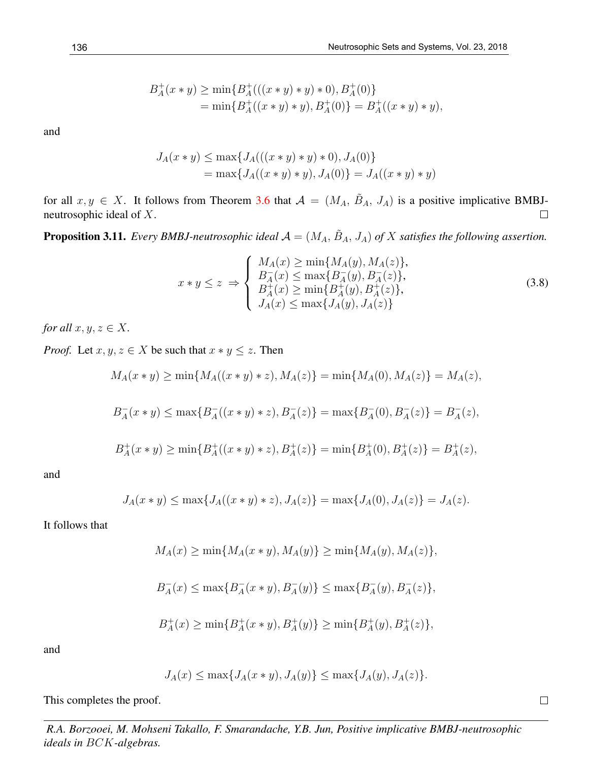$$
B_A^+(x * y) \ge \min\{B_A^+(((x * y) * y) * 0), B_A^+(0)\}
$$
  
=  $\min\{B_A^+((x * y) * y), B_A^+(0)\} = B_A^+((x * y) * y),$ 

$$
J_A(x * y) \le \max\{J_A(((x * y) * y) * 0), J_A(0)\}
$$
  
=  $\max\{J_A((x * y) * y), J_A(0)\} = J_A((x * y) * y)$ 

for all  $x, y \in X$ . It follows from Theorem 3.6 that  $\mathcal{A} = (M_A, \tilde{B}_A, J_A)$  is a positive implicative BMBJneutrosophic ideal of X.  $\Box$ 

**Proposition 3.11.** Every BMBJ-neutrosophic ideal  $A = (M_A, \tilde{B}_A, J_A)$  of X satisfies the following assertion.

$$
x * y \le z \implies \begin{cases} M_A(x) \ge \min\{M_A(y), M_A(z)\}, \\ B_A^-(x) \le \max\{B_A^-(y), B_A^-(z)\}, \\ B_A^+(x) \ge \min\{B_A^+(y), B_A^+(z)\}, \\ J_A(x) \le \max\{J_A(y), J_A(z)\} \end{cases}
$$
(3.8)

*for all*  $x, y, z \in X$ *.* 

*Proof.* Let  $x, y, z \in X$  be such that  $x * y \leq z$ . Then

$$
M_A(x * y) \ge \min\{M_A((x * y) * z), M_A(z)\} = \min\{M_A(0), M_A(z)\} = M_A(z),
$$

$$
B_A^-(x * y) \le \max\{B_A^-( (x * y) * z), B_A^-(z)\} = \max\{B_A^-(0), B_A^-(z)\} = B_A^-(z),
$$

$$
B_A^+(x * y) \ge \min\{B_A^+((x * y) * z), B_A^+(z)\} = \min\{B_A^+(0), B_A^+(z)\} = B_A^+(z),
$$

and

$$
J_A(x * y) \le \max\{J_A((x * y) * z), J_A(z)\} = \max\{J_A(0), J_A(z)\} = J_A(z).
$$

It follows that

$$
M_A(x) \ge \min\{M_A(x*y), M_A(y)\}\ge \min\{M_A(y), M_A(z)\},\
$$

$$
B_A^-(x) \leq \max\{B_A^-(x*y),B_A^-(y)\} \leq \max\{B_A^-(y),B_A^-(z)\},
$$

$$
B_A^+(x) \ge \min\{B_A^+(x*y), B_A^+(y)\} \ge \min\{B_A^+(y), B_A^+(z)\},
$$

and

$$
J_A(x) \le \max\{J_A(x*y), J_A(y)\} \le \max\{J_A(y), J_A(z)\}.
$$

This completes the proof.

*R.A. Borzooei, M. Mohseni Takallo, F. Smarandache, Y.B. Jun, Positive implicative BMBJ-neutrosophic ideals in* BCK*-algebras.*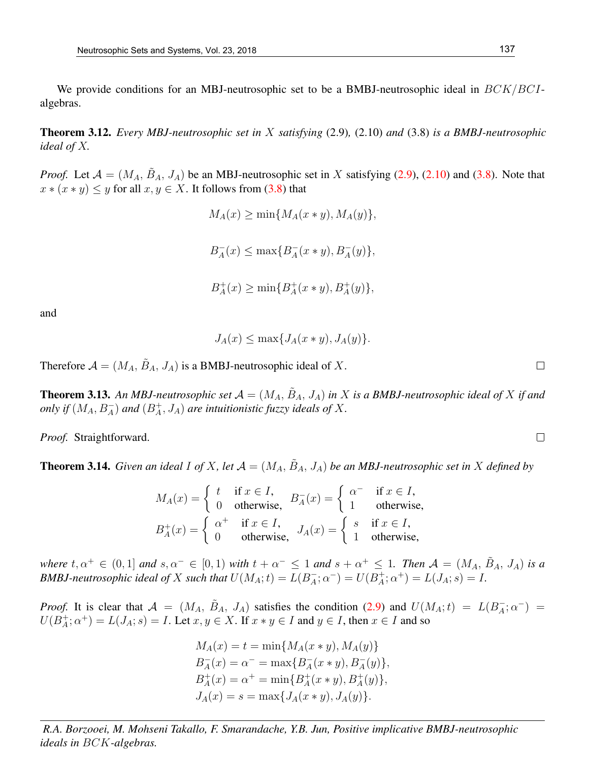We provide conditions for an MBJ-neutrosophic set to be a BMBJ-neutrosophic ideal in  $BCK/BCI$ algebras.

Theorem 3.12. *Every MBJ-neutrosophic set in* X *satisfying* (2.9)*,* (2.10) *and* (3.8) *is a BMBJ-neutrosophic ideal of* X*.*

*Proof.* Let  $A = (M_A, \tilde{B}_A, J_A)$  be an MBJ-neutrosophic set in X satisfying (2.9), (2.10) and (3.8). Note that  $x * (x * y) \leq y$  for all  $x, y \in X$ . It follows from (3.8) that

```
M_A(x) \ge \min\{M_A(x*y),M_A(y)\},\B_A^-\overline{A}(x) \leq \max\{B_A^-\bar{A}(x * y), B^-_A(y) \},B_4^+_{A}^{+}(x) \geq \min\{B_{A}^{+}_A^+(x * y), B_A^+(y) \},
```
and

$$
J_A(x) \le \max\{J_A(x*y), J_A(y)\}.
$$

Therefore  $A = (M_A, \tilde{B}_A, J_A)$  is a BMBJ-neutrosophic ideal of X.

**Theorem 3.13.** An MBJ-neutrosophic set  $\mathcal{A} = (M_A, \tilde{B}_A, J_A)$  in X is a BMBJ-neutrosophic ideal of X if and *only if*  $(M_A, B_A^-)$  *and*  $(B_A^+)$ A , JA) *are intuitionistic fuzzy ideals of* X*.*

*Proof.* Straightforward.

**Theorem 3.14.** *Given an ideal I of X, let*  $\mathcal{A} = (M_A, \tilde{B}_A, J_A)$  *be an MBJ-neutrosophic set in* X *defined by* 

$$
M_A(x) = \begin{cases} t & \text{if } x \in I, \\ 0 & \text{otherwise,} \end{cases} B_A^-(x) = \begin{cases} \alpha^- & \text{if } x \in I, \\ 1 & \text{otherwise,} \end{cases}
$$

$$
B_A^+(x) = \begin{cases} \alpha^+ & \text{if } x \in I, \\ 0 & \text{otherwise,} \end{cases} J_A(x) = \begin{cases} s & \text{if } x \in I, \\ 1 & \text{otherwise,} \end{cases}
$$

*where*  $t, \alpha^+ \in (0,1]$  *and*  $s, \alpha^- \in [0,1)$  *with*  $t + \alpha^- \leq 1$  *and*  $s + \alpha^+ \leq 1$ *. Then*  $\mathcal{A} = (M_A, \tilde{B}_A, J_A)$  *is a BMBJ-neutrosophic ideal of* X *such that*  $U(M_A; t) = L(B_A^{-})$  $_{A}^{-}$ ;  $\alpha^{-}$ ) =  $U(B_{A}^{+})$  $A^+_{A}; \alpha^+) = L(J_A; s) = I.$ 

*Proof.* It is clear that  $A = (M_A, \tilde{B}_A, J_A)$  satisfies the condition (2.9) and  $U(M_A; t) = L(B_A^-)$  $\bar{A}$ ;  $\alpha^{-}$ ) =  $U(B^+_A)$  $A^+_A$ ;  $\alpha^+$ ) =  $L(J_A; s)$  =  $I$ . Let  $x, y \in X$ . If  $x * y \in I$  and  $y \in I$ , then  $x \in I$  and so

> $M_A(x) = t = \min\{M_A(x * y), M_A(y)\}$  $B_A^ _{A}^{-}(x) = \alpha^{-} = \max\{B_{A}^{-}$  $_{A}^{-}(x * y), B_{A}^{-}(y)\},$  $B_4^+$  $_{A}^{+}(x) = \alpha^{+} = \min\{B_{A}^{+}$  $_A^+(x * y), B_A^+(y) \},$  $J_A(x) = s = \max\{J_A(x * y), J_A(y)\}.$

*R.A. Borzooei, M. Mohseni Takallo, F. Smarandache, Y.B. Jun, Positive implicative BMBJ-neutrosophic ideals in* BCK*-algebras.*

 $\Box$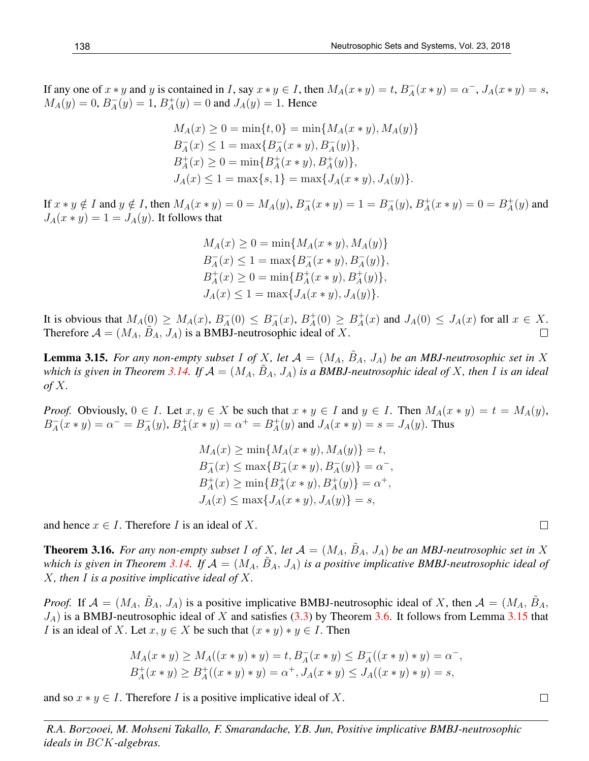If any one of  $x * y$  and y is contained in I, say  $x * y \in I$ , then  $M_A(x * y) = t$ ,  $B_A^ A_{A}(x * y) = \alpha^{-}, J_{A}(x * y) = s,$  $M_A(y) = 0, B_A^ _{A}^{-}(y) = 1, B_{A}^{+}$  $A_{A}^{+}(y) = 0$  and  $J_{A}(y) = 1$ . Hence

$$
M_A(x) \ge 0 = \min\{t, 0\} = \min\{M_A(x * y), M_A(y)\}
$$
  
\n
$$
B_A^-(x) \le 1 = \max\{B_A^-(x * y), B_A^-(y)\},
$$
  
\n
$$
B_A^+(x) \ge 0 = \min\{B_A^+(x * y), B_A^+(y)\},
$$
  
\n
$$
J_A(x) \le 1 = \max\{s, 1\} = \max\{J_A(x * y), J_A(y)\}.
$$

If  $x * y \notin I$  and  $y \notin I$ , then  $M_A(x * y) = 0 = M_A(y)$ ,  $B_A^ A_{A}(x * y) = 1 = B_{A}^{-}$  $_{A}^{-}(y)$ ,  $B_{A}^{+}$  $_{A}^{+}(x * y) = 0 = B_{A}^{+}$  $j^+_A(y)$  and  $J_A(x * y) = 1 = J_A(y)$ . It follows that

$$
M_A(x) \ge 0 = \min\{M_A(x * y), M_A(y)\}
$$
  
\n
$$
B_A^-(x) \le 1 = \max\{B_A^-(x * y), B_A^-(y)\},
$$
  
\n
$$
B_A^+(x) \ge 0 = \min\{B_A^+(x * y), B_A^+(y)\},
$$
  
\n
$$
J_A(x) \le 1 = \max\{J_A(x * y), J_A(y)\}.
$$

It is obvious that  $M_A(0) \geq M_A(x)$ ,  $B_A^ \bar{A}(0) \leq B_A^ _{A}^{-}(x)$ ,  $B_{A}^{+}$  $A^+(0) \geq B_A^+$  $A_{A}^{+}(x)$  and  $J_{A}(0) \leq J_{A}(x)$  for all  $x \in X$ . Therefore  $A = (M_A, \tilde{B}_A, J_A)$  is a BMBJ-neutrosophic ideal of X.  $\Box$ 

**Lemma 3.15.** For any non-empty subset I of X, let  $\mathcal{A} = (M_A, \tilde{B}_A, J_A)$  be an MBJ-neutrosophic set in X which is given in Theorem 3.14. If  $A = (M_A, \tilde{B}_A, J_A)$  is a BMBJ-neutrosophic ideal of X, then I is an ideal *of* X*.*

*Proof.* Obviously,  $0 \in I$ . Let  $x, y \in X$  be such that  $x * y \in I$  and  $y \in I$ . Then  $M_A(x * y) = t = M_A(y)$ ,  $B_A^ A_{A}^{-}(x * y) = \alpha^{-} = B_{A}^{-}$  $_{A}^{-}(y)$ ,  $B_{A}^{+}$  $_{A}^{+}(x * y) = \alpha^{+} = B_{A}^{+}$  $A_{A}^{+}(y)$  and  $J_{A}(x * y) = s = J_{A}(y)$ . Thus

$$
M_A(x) \ge \min\{M_A(x * y), M_A(y)\} = t,
$$
  
\n
$$
B_A^-(x) \le \max\{B_A^-(x * y), B_A^-(y)\} = \alpha^-,
$$
  
\n
$$
B_A^+(x) \ge \min\{B_A^+(x * y), B_A^+(y)\} = \alpha^+,
$$
  
\n
$$
J_A(x) \le \max\{J_A(x * y), J_A(y)\} = s,
$$

and hence  $x \in I$ . Therefore I is an ideal of X.

**Theorem 3.16.** For any non-empty subset I of X, let  $A = (M_A, B_A, J_A)$  be an MBJ-neutrosophic set in X which is given in Theorem 3.14. If  $A = (M_A, B_A, J_A)$  is a positive implicative BMBJ-neutrosophic ideal of X*, then* I *is a positive implicative ideal of* X*.*

*Proof.* If  $\mathcal{A} = (M_A, \tilde{B}_A, J_A)$  is a positive implicative BMBJ-neutrosophic ideal of X, then  $\mathcal{A} = (M_A, \tilde{B}_A, J_A)$  $J_A$ ) is a BMBJ-neutrosophic ideal of X and satisfies (3.3) by Theorem 3.6. It follows from Lemma 3.15 that I is an ideal of X. Let  $x, y \in X$  be such that  $(x * y) * y \in I$ . Then

$$
M_A(x * y) \ge M_A((x * y) * y) = t, B_A^-(x * y) \le B_A^-(x * y) * y) = \alpha^-,
$$
  

$$
B_A^+(x * y) \ge B_A^+((x * y) * y) = \alpha^+, J_A(x * y) \le J_A((x * y) * y) = s,
$$

and so  $x * y \in I$ . Therefore I is a positive implicative ideal of X.

*R.A. Borzooei, M. Mohseni Takallo, F. Smarandache, Y.B. Jun, Positive implicative BMBJ-neutrosophic ideals in* BCK*-algebras.*

 $\Box$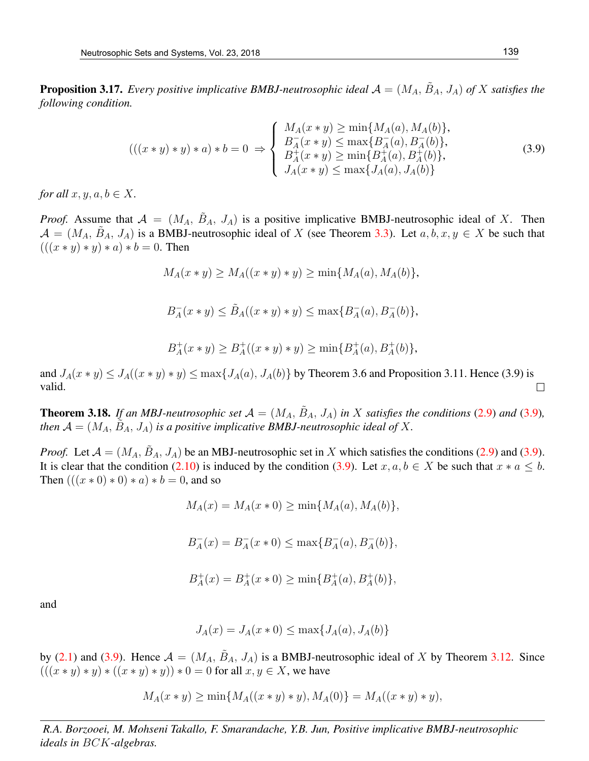**Proposition 3.17.** Every positive implicative BMBJ-neutrosophic ideal  $A = (M_A, \tilde{B}_A, J_A)$  of X satisfies the *following condition.*

$$
(((x * y) * y) * a) * b = 0 \Rightarrow \begin{cases} M_A(x * y) \ge \min\{M_A(a), M_A(b)\}, \\ B_A^-(x * y) \le \max\{B_A^-(a), B_A^-(b)\}, \\ B_A^+(x * y) \ge \min\{B_A^+(a), B_A^+(b)\}, \\ J_A(x * y) \le \max\{J_A(a), J_A(b)\} \end{cases}
$$
(3.9)

*for all*  $x, y, a, b \in X$ .

*Proof.* Assume that  $A = (M_A, \tilde{B}_A, J_A)$  is a positive implicative BMBJ-neutrosophic ideal of X. Then  $\mathcal{A} = (M_A, \tilde{B}_A, J_A)$  is a BMBJ-neutrosophic ideal of X (see Theorem 3.3). Let  $a, b, x, y \in X$  be such that  $(((x * y) * y) * a) * b = 0.$  Then

$$
M_A(x * y) \ge M_A((x * y) * y) \ge \min\{M_A(a), M_A(b)\},\
$$

 $B_4^ A_{A}(x * y) \leq \tilde{B}_{A}((x * y) * y) \leq \max\{B_{A}^{-}$  $_{A}^{-}(a), B_{A}^{-}(b)\},$ 

$$
B_A^+(x * y) \ge B_A^+((x * y) * y) \ge \min\{B_A^+(a), B_A^+(b)\},\
$$

and  $J_A(x * y) \leq J_A((x * y) * y) \leq \max\{J_A(a), J_A(b)\}\$  by Theorem 3.6 and Proposition 3.11. Hence (3.9) is valid.  $\Box$ 

**Theorem 3.18.** If an MBJ-neutrosophic set  $A = (M_A, \tilde{B}_A, J_A)$  in X satisfies the conditions (2.9) and (3.9), then  $\mathcal{A} = (M_A, \tilde{B}_A, J_A)$  is a positive implicative BMBJ-neutrosophic ideal of X.

*Proof.* Let  $A = (M_A, \tilde{B}_A, J_A)$  be an MBJ-neutrosophic set in X which satisfies the conditions (2.9) and (3.9). It is clear that the condition (2.10) is induced by the condition (3.9). Let  $x, a, b \in X$  be such that  $x * a \leq b$ . Then  $(((x * 0) * 0) * a) * b = 0$ , and so

$$
M_A(x) = M_A(x * 0) \ge \min\{M_A(a), M_A(b)\},\
$$

$$
B_A^-(x) = B_A^-(x \ast 0) \le \max\{B_A^-(a), B_A^-(b)\},
$$

$$
B_A^+(x) = B_A^+(x*0) \ge \min\{B_A^+(a), B_A^+(b)\},
$$

and

$$
J_A(x) = J_A(x * 0) \le \max\{J_A(a), J_A(b)\}
$$

by (2.1) and (3.9). Hence  $A = (M_A, \tilde{B}_A, J_A)$  is a BMBJ-neutrosophic ideal of X by Theorem 3.12. Since  $(((x * y) * y) * ((x * y) * y)) * 0 = 0$  for all  $x, y \in X$ , we have

$$
M_A(x * y) \ge \min\{M_A((x * y) * y), M_A(0)\} = M_A((x * y) * y),
$$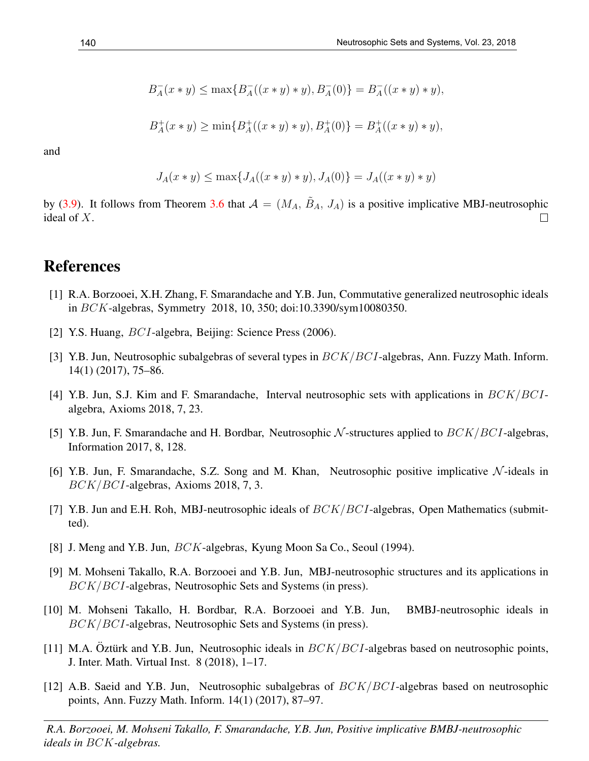$$
B_A^-(x * y) \leq \max\{B_A^-( (x * y) * y), B_A^-(0)\} = B_A^-( (x * y) * y),
$$

$$
B_A^+(x * y) \ge \min\{B_A^+((x * y) * y), B_A^+(0)\} = B_A^+((x * y) * y),
$$

$$
J_A(x * y) \le \max\{J_A((x * y) * y), J_A(0)\} = J_A((x * y) * y)
$$

by (3.9). It follows from Theorem 3.6 that  $A = (M_A, \tilde{B}_A, J_A)$  is a positive implicative MBJ-neutrosophic ideal of X.  $\Box$ 

## References

- [1] R.A. Borzooei, X.H. Zhang, F. Smarandache and Y.B. Jun, Commutative generalized neutrosophic ideals in BCK-algebras, Symmetry 2018, 10, 350; doi:10.3390/sym10080350.
- [2] Y.S. Huang, BCI-algebra, Beijing: Science Press (2006).
- [3] Y.B. Jun, Neutrosophic subalgebras of several types in  $BCK/BCI$ -algebras, Ann. Fuzzy Math. Inform. 14(1) (2017), 75–86.
- [4] Y.B. Jun, S.J. Kim and F. Smarandache, Interval neutrosophic sets with applications in  $BCK/BCI$ algebra, Axioms 2018, 7, 23.
- [5] Y.B. Jun, F. Smarandache and H. Bordbar, Neutrosophic  $N$ -structures applied to  $BCK/BCI$ -algebras, Information 2017, 8, 128.
- [6] Y.B. Jun, F. Smarandache, S.Z. Song and M. Khan, Neutrosophic positive implicative  $\mathcal N$ -ideals in BCK/BCI-algebras, Axioms 2018, 7, 3.
- [7] Y.B. Jun and E.H. Roh, MBJ-neutrosophic ideals of  $BCK/BCI$ -algebras, Open Mathematics (submitted).
- [8] J. Meng and Y.B. Jun, *BCK*-algebras, Kyung Moon Sa Co., Seoul (1994).
- [9] M. Mohseni Takallo, R.A. Borzooei and Y.B. Jun, MBJ-neutrosophic structures and its applications in BCK/BCI-algebras, Neutrosophic Sets and Systems (in press).
- [10] M. Mohseni Takallo, H. Bordbar, R.A. Borzooei and Y.B. Jun, BMBJ-neutrosophic ideals in BCK/BCI-algebras, Neutrosophic Sets and Systems (in press).
- [11] M.A. Oztürk and Y.B. Jun, Neutrosophic ideals in  $BCK/BCI$ -algebras based on neutrosophic points, J. Inter. Math. Virtual Inst. 8 (2018), 1–17.
- [12] A.B. Saeid and Y.B. Jun, Neutrosophic subalgebras of  $BCK/BCI$ -algebras based on neutrosophic points, Ann. Fuzzy Math. Inform. 14(1) (2017), 87–97.